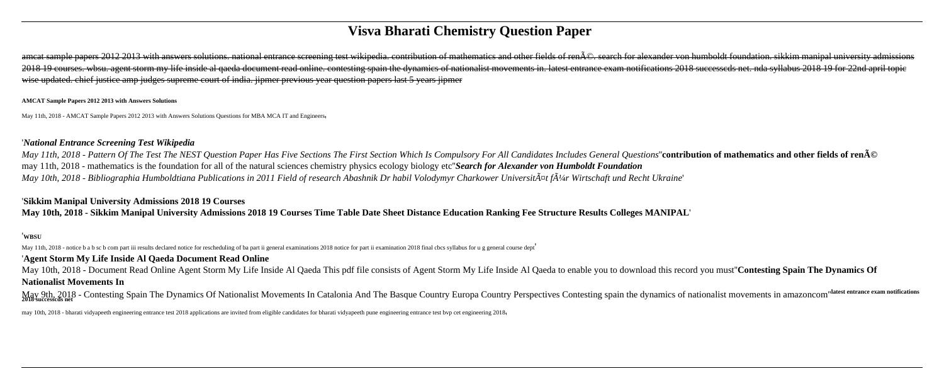# **Visva Bharati Chemistry Question Paper**

ameat sample papers 2012 2013 with answers solutions, national entrance screening test wikipedia, contribution of mathematics and other fields of ren $\tilde{A}\odot$ , search for alexander von humboldt foundation, sikkim manipal 2018 19 courses. wbsu. agent storm my life inside al qaeda document read online. contesting spain the dynamics of nationalist movements in. latest entrance exam notifications 2018 successeds net. nda syllabus 2018 19 for 2 wise updated, chief justice amp judges supreme court of india. jipmer previous year question papers last 5 years jipmer

#### **AMCAT Sample Papers 2012 2013 with Answers Solutions**

May 11th, 2018 - AMCAT Sample Papers 2012 2013 with Answers Solutions Questions for MBA MCA IT and Engineers

#### '*National Entrance Screening Test Wikipedia*

May 11th, 2018 - Pattern Of The Test The NEST Question Paper Has Five Sections The First Section Which Is Compulsory For All Candidates Includes General Questions" contribution of mathematics and other fields of renA© may 11th, 2018 - mathematics is the foundation for all of the natural sciences chemistry physics ecology biology etc''*Search for Alexander von Humboldt Foundation May 10th, 2018 - Bibliographia Humboldtiana Publications in 2011 Field of research Abashnik Dr habil Volodymyr Charkower Universit* $\tilde{A}^{\mu}$ *t f* $\tilde{A}^{1/4}$ *r Wirtschaft und Recht Ukraine'* 

May 9th, 2018 - Contesting Spain The Dynamics Of Nationalist Movements In Catalonia And The Basque Country Europa Country Perspectives Contesting spain the dynamics of nationalist movements in amazoncom "latest entrance ex **2018 successcds net**

may 10th, 2018 - bharati vidyapeeth engineering entrance test 2018 applications are invited from eligible candidates for bharati vidyapeeth pune engineering entrance test byp cet engineering 2018,

# '**Sikkim Manipal University Admissions 2018 19 Courses**

**May 10th, 2018 - Sikkim Manipal University Admissions 2018 19 Courses Time Table Date Sheet Distance Education Ranking Fee Structure Results Colleges MANIPAL**'

#### '**WBSU**

May 11th, 2018 - notice b a b sc b com part iii results declared notice for rescheduling of ba part ii general examinations 2018 notice for part ii examination 2018 final cbcs syllabus for u g general course dept

### '**Agent Storm My Life Inside Al Qaeda Document Read Online**

May 10th, 2018 - Document Read Online Agent Storm My Life Inside Al Qaeda This pdf file consists of Agent Storm My Life Inside Al Qaeda to enable you to download this record you must''**Contesting Spain The Dynamics Of Nationalist Movements In**